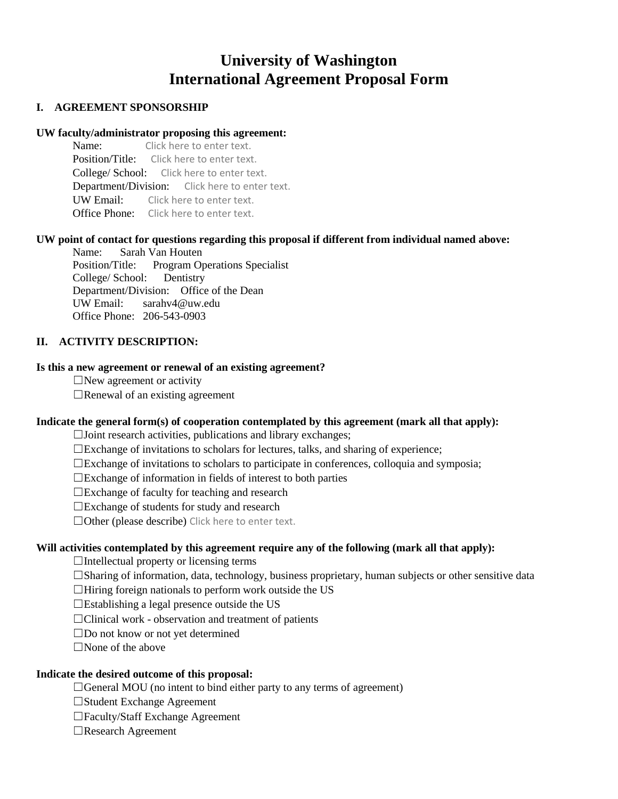# **University of Washington International Agreement Proposal Form**

## **I. AGREEMENT SPONSORSHIP**

# **UW faculty/administrator proposing this agreement:**

Click here to enter text. Position/Title: Click here to enter text. College/ School: Click here to enter text. Department/Division: Click here to enter text. UW Email: Click here to enter text. Office Phone: Click here to enter text.

# **UW point of contact for questions regarding this proposal if different from individual named above:**

Name: Sarah Van Houten Position/Title: Program Operations Specialist College/ School: Dentistry Department/Division: Office of the Dean UW Email: sarahv4@uw.edu Office Phone: 206-543-0903

# **II. ACTIVITY DESCRIPTION:**

#### **Is this a new agreement or renewal of an existing agreement?**

 $\Box$ New agreement or activity

 $\Box$ Renewal of an existing agreement

#### **Indicate the general form(s) of cooperation contemplated by this agreement (mark all that apply):**

☐Joint research activities, publications and library exchanges;

☐Exchange of invitations to scholars for lectures, talks, and sharing of experience;

 $\square$ Exchange of invitations to scholars to participate in conferences, colloquia and symposia;

 $\square$ Exchange of information in fields of interest to both parties

☐Exchange of faculty for teaching and research

☐Exchange of students for study and research

☐Other (please describe) Click here to enter text.

#### **Will activities contemplated by this agreement require any of the following (mark all that apply):**

 $\Box$ Intellectual property or licensing terms

☐Sharing of information, data, technology, business proprietary, human subjects or other sensitive data

 $\Box$ Hiring foreign nationals to perform work outside the US

 $\square$ Establishing a legal presence outside the US

 $\Box$ Clinical work - observation and treatment of patients

☐Do not know or not yet determined

☐None of the above

#### **Indicate the desired outcome of this proposal:**

□General MOU (no intent to bind either party to any terms of agreement)

- ☐Student Exchange Agreement
- ☐Faculty/Staff Exchange Agreement

☐Research Agreement